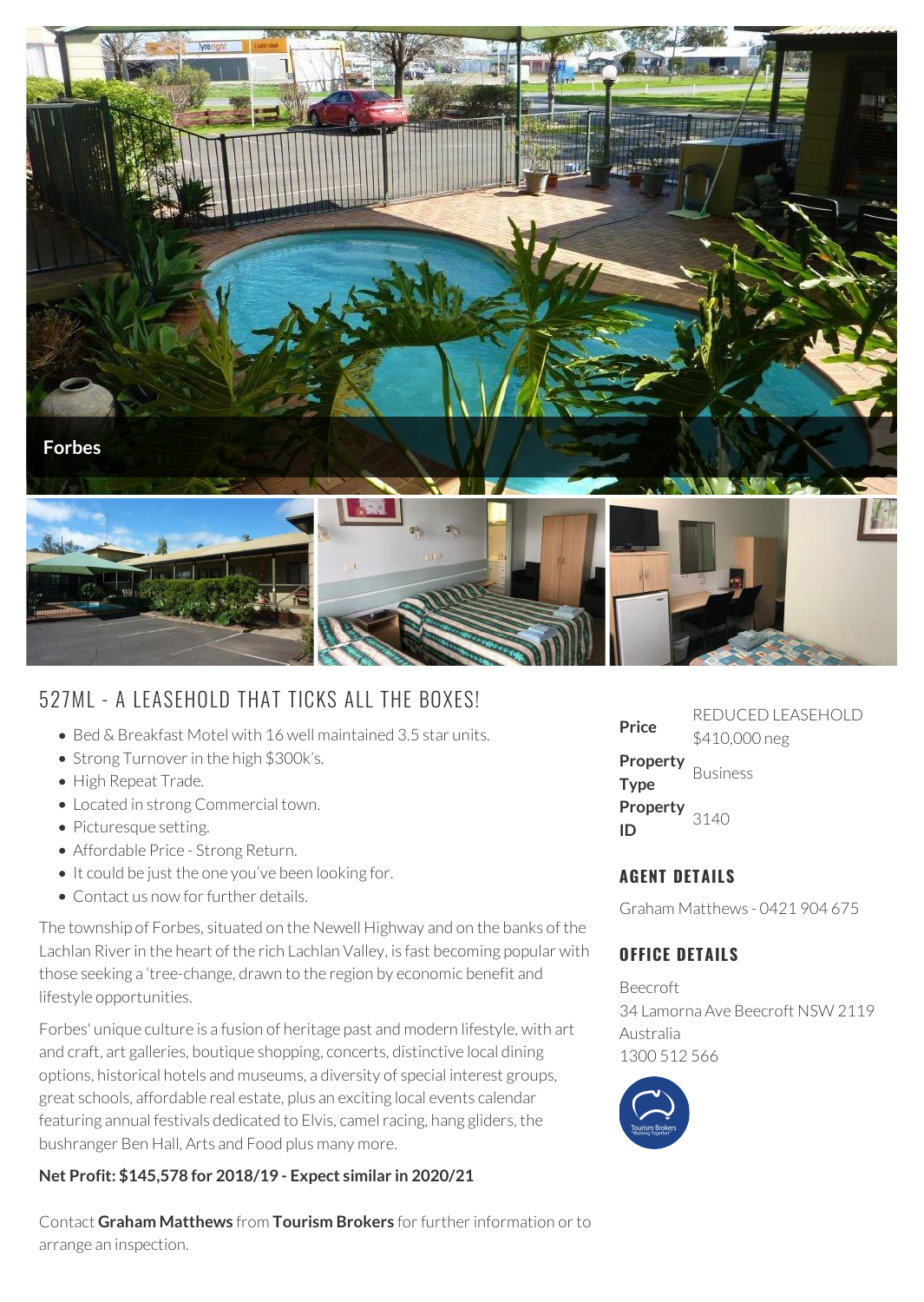

# 527ML - A LEASEHOLD THAT TICKS ALL THE BOXES!

- Bed & Breakfast Motel with 16 well maintained 3.5 star units.
- Strong Turnover in the high \$300k's.
- High Repeat Trade.
- Located in strong Commercial town.
- Picturesque setting.
- Affordable Price Strong Return.
- It could be just the one you've been looking for.
- Contact us now for further details.

The township of Forbes, situated on the Newell Highway and on the banks of the Lachlan River in the heart of the rich Lachlan Valley, is fast becoming popular with those seeking a 'tree-change, drawn to the region by economic benefit and lifestyle opportunities.

Forbes' unique culture is a fusion of heritage past and modern lifestyle, with art and craft, art galleries, boutique shopping, concerts, distinctive local dining options, historical hotels and museums, a diversity of special interest groups, great schools, affordable real estate, plus an exciting local events calendar featuring annual festivals dedicated to Elvis, camel racing, hang gliders, the bushranger Ben Hall, Arts and Food plus many more.

### **Net Profit: \$145,578 for 2018/19 - Expect similar in 2020/21**

Contact **Graham Matthews** from **Tourism Brokers** for further information or to arrange an inspection.

| Price                                   | REDUCED LEASEHOLD<br>\$410,000 neg |
|-----------------------------------------|------------------------------------|
| <b>Property</b> Business<br><b>Type</b> |                                    |
| <b>Property</b> $3140$<br>ID            |                                    |

# **AGENT DETAILS**

Graham Matthews - 0421 904 675

## **OFFICE DETAILS**

Beecroft 34 Lamorna Ave Beecroft NSW 2119 Australia 1300 512 566